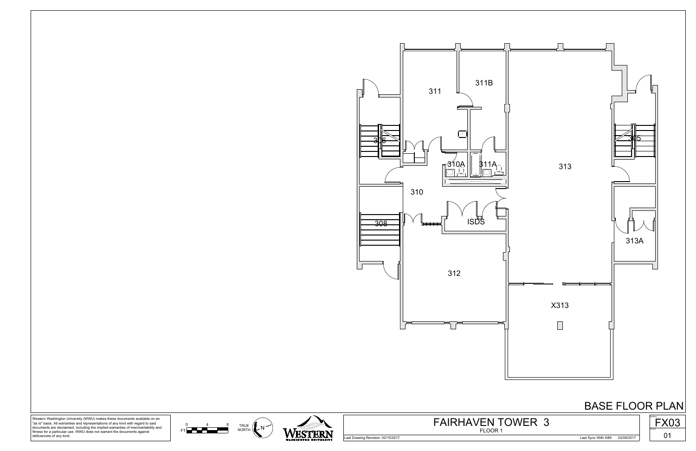

0 4 8 TRI





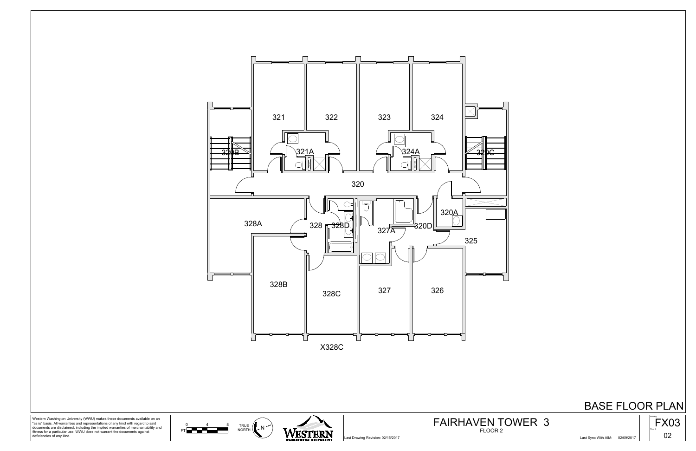

## BASE FLOOR PLAN



0 4 8 TRI

Western Washington University (WWU) makes these documents available on an "as is" basis. All warranties and representations of any kind with regard to said documents are disclaimed, including the implied warranties of merchantability and fitness for a particular use. WWU does not warrant the documents against deficiencies of any kind.

Last Drawing Revision: 02/15/2017 Last Sync With AIM: 02/09/2017



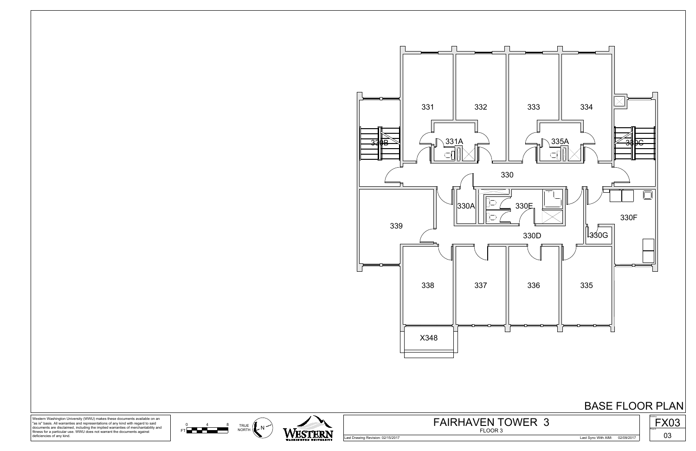

0 4 8 TRI



Western Washington University (WWU) makes these documents available on an "as is" basis. All warranties and representations of any kind with regard to said documents are disclaimed, including the implied warranties of merchantability and fitness for a particular use. WWU does not warrant the documents against deficiencies of any kind.